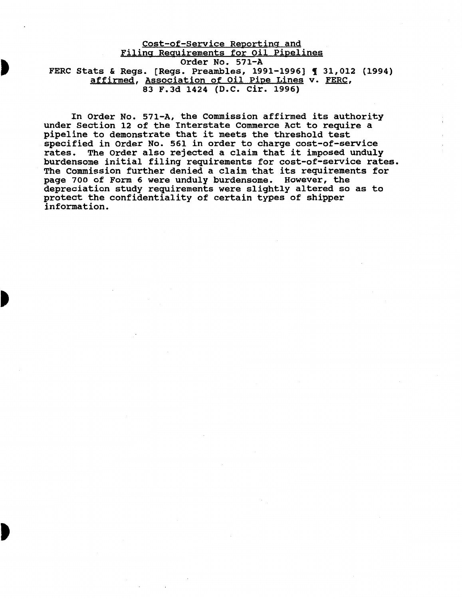Cost-of-Service Reporting and Filing Requirements for Oil Pipelines order No. 571-A FERC Stats & Regs. [Regs. Preambles, 1991-1996] 1 31,012 (1994) affirmed, Association of Oil Pipe Lines v. FERC, 83 F.3d 1424 (D.C. Cir. 1996)

In order No. 571-A, the commission affirmed its authority under Section 12 of the Interstate Commerce Act to require a pipeline to demonstrate that it meets the threshold test specified in Order No. 561 in order to charge cost-of-service rates. The Order also rejected a claim that it imposed unduly burdensome initial filing requirements for cost-of-service rates. The Commission further denied a claim that its requirements for page 700 of Form 6 were unduly burdensome. However, the depreciation study requirements were slightly altered so as to protect the confidentiality of certain types of shipper information.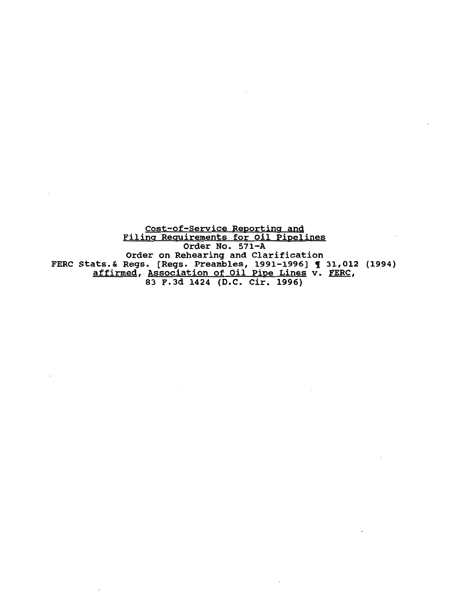Cost-of-Service Reporting and Filing Requirements for Oil Pipelines Order No. 571-A Order on Rehearing and Clarification FERC Stats.& Regs. [Regs. Preambles, 1991-1996] ¶ 31,012 (1994) affirmed, Association of Oil Pipe Lines v. FERC, 83 F.Jd 1424 (D.C. Cir. 1996)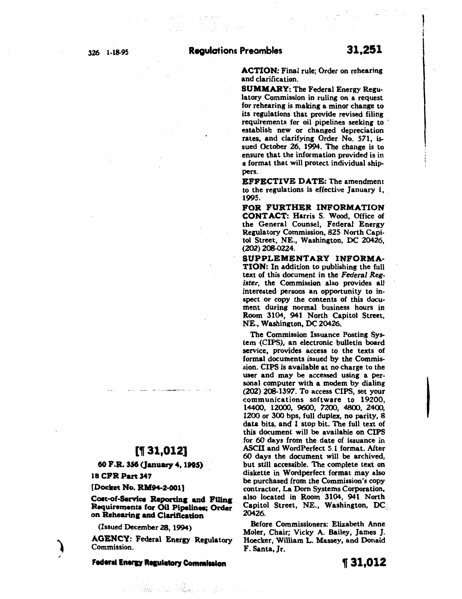ACTION: Final rule; Order on rehearing and clarification.

SUMMARY: The Federal Energy Regulatory Commission in ruling on a request for rehearing is making a minor change to its regulations that provide revised filing requirements for oil pipelines seeking to establish new or changed depreciation rates, and clarifying Order No. 571, issued October 26, 1994. The change is to ensure that the information provided is in a format that will protect individual shippers.

EFFECTIVE DATE: The amendment to the regulations is effective January 1, 1995.  $1995.$ 

FOR FURTHER INFORMATION CONTACT: Harris S. Wood, Office of the General Counsel, Federal Energy Regulatory Commission, 825 North Capitol Street, NE., Washington, DC 20426, (202) 208-0224.

SUPPLEMENTARY INFORMA-TION: In addition to publishing the full text of this document in the *Federal Register,* the Commission also provides all interested persons an opportunity to inspect or copy the contents of this document during normal business hours in Room 3104, 941 North Capitol Street, NE., Washington, DC 20426.

The Commission Issuance Posting System (CIPS), an electronic bulletin board service, provides access to the texts of formal documents issued by the Commission. CIPS is available at no charge to the user and may be accessed using a personal computer with a modem by dialing (202) 208-1397. To access CIPS, set your communications software to 19200, 14400, 12000, 9600, 7200, 4800, 2400, 1200 or 300 bps, full duplex, no parity, 8 data bits, and 1 stop bit. The full text of this document will be available on CIPS for 60 days from the date of issuance in ASCU and WordPerfect 5.1 format. After 60 days the document will be archived, but still accessible. The complete text on diskette in Wordperfect format may also be purchased from the Commission's copy contractor, La Dom Systems Corporation, also located in Room 3104, 941 North Capitol Street, NE., Washington, DC. 20426.

Before Commissioners: Elizabeth Anne Moler, Chair; Vicky A. Bailey, *]* ames *]* . Hoecker, William L. Massey, and Donald F. Santa, Jr.

# [, 31,012]

60 F.R. 356 (January 4, 1995)

18 CFR Part 347

[Docket No. RM94-2-001]

Cost-of-Service Reporting and Filing Requirements for Oil Pipelines; Order on Rehearing and Clarification

(Issued December 28, 1994)

AGENCY: Federal Energy Regulatory Commission.

**Federal Energy Regulatory Commission** 

## , 31,012

I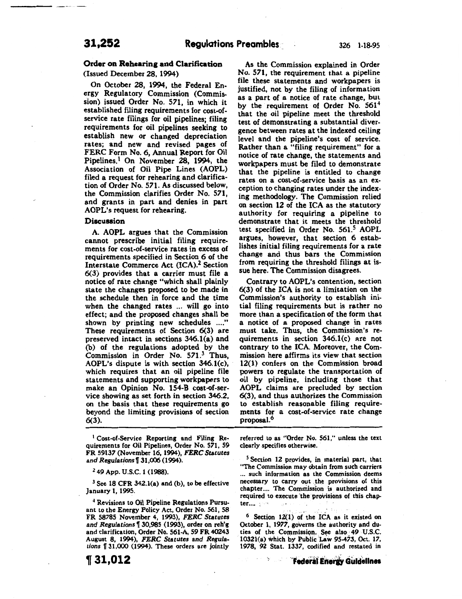---------- -

### Order on Rehearing and Clarification

(Issued December 28, 1994)

On October 28, 1994, the Federal Energy Regulatory Commission (Commission) issued Order No. 571, in which it established filing requirements for cost-ofservice rate filings for oil pipelines; filing requirements for oil pipelines seeking to establish new or changed depreciation rates; and new and revised pages of FERC Form No. 6, Annual Report for Oil Pipelines.1 On November 28, 1994, the Association of Oil Pipe Lines (AOPL) filed a request for rehearing and clarification of Order No. 571. As discussed below, the Commission clarifies Order No. 571, and grants in part and denies in part AOPL's request for rehearing.

### Discussion

A. AOPL argues that the Commission cannot prescribe initial filing requirements for cost-of-service rates in excess of requirements specified in Section 6 of the Interstate Commerce Act (ICA).2 Section 6(3) provides that a carrier must file a notice of rate change "which shall plainly state the changes proposed to be made in the schedule then in force and the time when the changed rates ... will go into effect; and the proposed changes shall be shown by printing new schedules ...." These requirements of Section 6(3) are preserved intact in sections 346.1(a) and (b) of the regulations adopted by the Commission in Order No. 571.3 Thus, AOPL's dispute is with section 346.l(c), which requires that an oil pipeline file statements and supporting workpapers to make an Opinion No. 154-B cost-of-service showing as set forth in section 346.2, on the basis that these requirements go beyond the limiting provisions of section 6(3).

<sup>1</sup> Cost-of-Service Reporting and Filing Requirements for Oil Pipelines, Order No. 571, 59 FR 59137 (November 16, 1994), *FERC Statutes*  and *Regulations*  $[$  31,006 (1994).

*z* 49 App. U.S.C. 1 (1988).

 $3$  See 18 CFR 342.1(a) and (b), to be effective January 1, 1995.

4 Revisions to Oil Pipeline Regulations Pursuant to the Energy Policy Act, Order No. 561, 58 FR *58785* November 4, 1993), *FERC Statutes*  and *Regulations* 130,985 (1993), order on reh'g and clarification, Order No. 561-A, 59 FR 40243 August 8, 1994), *FERC Statutes and Regula*tions **1**31,000 (1994). These orders are jointly

<sup>~</sup>**31,012** 

As the Commission explained in Order No. 571, the requirement that a pipeline file these statements and workpapers is justified, not by the filing of information as a part of a notice of rate change, but by the requirement of Order No. 561<sup>4</sup> that the oil pipeline meet the threshold test of demonstrating a substantial divergence between rates at the indexed ceiling level and the pipeline's cost of service. Rather than a "filing requirement" for a notice of rate change, the statements and workpapers must be filed to demonstrate that the pipeline is entitled to change rates on a cost-of-service basis as an exception to changing rates under the indexing methodology. The Commission relied on section 12 of the ICA as the statutory authority for requiring a pipeline to demonstrate that it meets the threshold test specified in Order No. 561.5 AOPL argues, however, that section 6 establishes initial filing requirements for a rate change and thus bars the Commission from requiring the threshold filings at issue here. The Commission disagrees.

Contrary to AOPL's contention, section 6(3) of the ICA is not a limitation on the Commission's authority to establish initial filing requirements but is rather no more than a specification of the form that a notice of a proposed change in rates must take. Thus, the Commission's requirements in section  $346.1(c)$  are not contrary to the ICA. Moreover, the Commission here affirms its view that section 12(1) confers on the Commission broad powers to regulate the transportation of oil by pipeline, including those that AOPL claims are precluded by section 6(3), and thus authorizes the Commission to establish reasonable filing requirements for a cost-of-service rate change proposal.<sup>6</sup>

referred to as "Order No. 561," unless the text clearly specifies otherwise.

<sup>5</sup> Section 12 provides, in material part, that "The Commission may obtain from such carriers ... such information as the Commission deems necessary to carry out the provisions of this chapter.... The Commission is authorized and required to execute the provisions of this chap $ter...$   $\blacksquare$ 

 $6$  Section 12(1) of the ICA as it existed on October 1, *1977,* governs the authority and duties of the Commission. See also 49 U.S.C. 1032l(a) which by Pubiic 'L&w 95-473, Oct. 17, 1978, 92 Stat. 1337, codified and restated in

·~·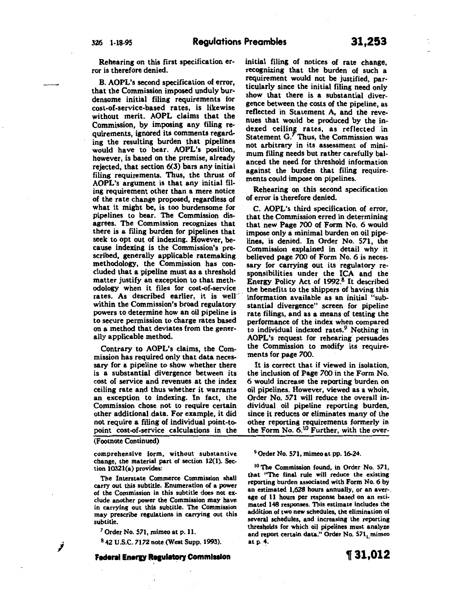Rehearing on this first specification error is therefore denied.

B. AOPL's second specification of error, that the Commission imposed unduly burdensome initial filing requirements for cost~of-service-based rates, is likewise without merit. AOPL claims that the Commission, by imposing any filing requirements, ignored its comments regarding the resulting burden that pipelines would have to· bear. AOPL's position, however, is based on the premise, already rejected, that section 6(3) bars any initial filing requirements. Thus, the thrust of AOPL's argument is that any initial filing requirement other than a mere notice of the rate change proposed, regardless of what it might be, is too burdensome for pipelines to bear. The Commission disagrees. The Commission recognizes that there is a filing burden for pipelines that seek to opt out of indexing. However, because indexing is the Commission's prescribed, generally applicable ratemaking methodology, the Commission has concluded that a pipeline must as a threshold matter justify an exception to that methodology when it files for cost-of-service rates. As described earlier, it is well within the Commission's broad regulatory powers to determine how an oil pipeline is to secure permission to charge rates based on a method that deviates from the generally applicable method.

Contrary to AOPL's claims, the Commission has required only that data necessary for a pipeline to show whether there is a substantial divergence between its cost of service and revenues at the index ceiling rate and thus whether it warrants an exception to indexing. In fact, the Commission chose not to require certain other additional data. For example, it did not require a filing of individual point-topoint cost-of-service calculations in the

(Footnote Continued)

comprehensive form, without substantive change, the material part of section 12(1). Section 10321(a) provides:

The Interstate Commerce Commission shall carry out this subtitle. Enumeration of a power of the Commission in this subtitle does not exclude another power the Commission may have in carrying out this subtitle. The Commission may prescribe regulations in carrying out this subtitle.

*<sup>7</sup>*Order No. 571, mimeo at p. II.

8 42 U.S.C. 7172 note (West Supp. 1993).

**Federal Energy Regulatory Commission** 

initial filing of notices of rate change, recognizing that the burden of such a requirement would not be justified, particularly since the initial filing need only show that there is a substantial divergence between the costs of the pipeline, as reflected in Statement A, and the revenues that would be produced by the indexed ceiling rates, as reflected in Statement G.' Thus, the Commission was not arbitrary in its assessment of minimum filing needs but rather carefully balanced the need for threshold information against the burden that filing requirements could impose on pipelines.

Rehearing on this second specification of error is therefore denied.

C. AOPL's third specification of error, that the Commission erred in determining that new Page 700 of Form No. 6 would impose only a minimal burden on oil pipelines, is denied. In Order No. 571, the Commission explained in detail why it believed page 700 of Form No. 6 is necessary for carrying out its regulatory responsibilities under the ICA and the Energy Policy Act of 1992.8 It described the benefits to the shippers of having this information available as an initial "substantial divergence" screen for pipeline rate filings, and as a means of testing the performance of the index when compared to individual indexed rates.<sup>9</sup> Nothing in AOPL's request for rehearing· persuades the Commission to modify its requirements for page 700.

It is correct that if viewed in isolation, the inclusion of Page 700 in the Form No. 6 would increase the reporting burden on oil pipelines. However, viewed as a whole, Order No. 571 will reduce the overall individual oil pipeline reporting burden, since it reduces or eliminates many of the other reporting requirements formerly in the Form No. 6.<sup>1</sup> 0 Further, with the over-

#### 9 Order No. 571, mimeo at pp. 16-24.

<sup>10</sup> The Commission found, in Order No. 571, that ''The final rule will reduce the existing reporting burden associated with Form No.6 by an estimated 1,628 hours annually, or an aver-. age of II hours per response based on an estimated 148 responses. This estimate includes the additjon of two new schedules, the elimination of several schedules, and increasing the reporting thresholds for which oil pipelines must analyze and report certain data." Order No. 571, mimeo at p. 4.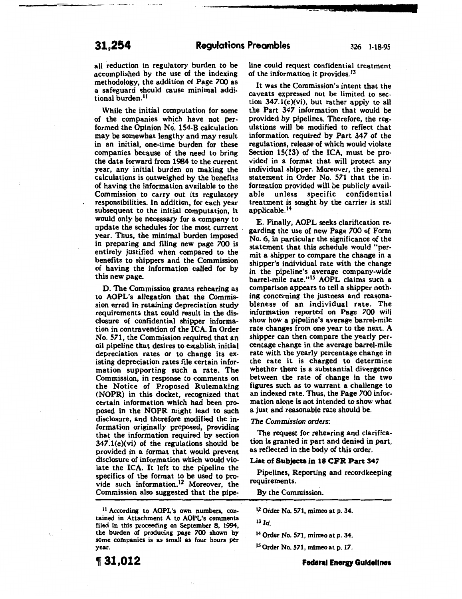all reduction in regulatory burden to be accomplished by the use of the indexing methodology, the addition of Page 700 as a safeguard should cause minimal additional burden.<sup>11</sup>

While the initial computation for some of the companies which have not performed the Opinion No. 154-B calculation may be somewhat lengthy and may result in an initial, one-time burden for these companies because of the need to bring the data forward from 1984 to the current year, any initial burden on making the calculations is outweighed by the benefits of having the information available to the Commission to carry out its regulatory responsibilities. In addition, for each year subsequent to the initial computation, it would only be necessary for a company to update the schedules for the most current . year. Thus, the minimal burden imposed in preparing and filing new page 700 is entirely justified when compared to the benefits to shippers and the Commission of having the information called for by this new page.

D. The Commission grants rehearing as to AOPL's allegation that the Commission erred in retaining depreciation study requirements that could result in the disclosure of confidential shipper information in contravention of the ICA. In Order No. 571, the Commission required that an oil pipeline that desires to establish initial depreciation rates or to change its existing depreciation rates file certain information supporting such a rate. The Commission, in response to comments on the Notice of Proposed Rulemaking (NOPR) in this docket, recognized that certain information which had been proposed in the NOPR might lead to such disclosure, and therefore modified the information originally proposed, providing that the information required by section  $347.1(e)$ (vi) of the regulations should be provided in a format that would prevent disclosure of information which would violate the ICA. It left to the pipeline the specifics of the format to be used to provide such information.<sup>12</sup> Moreover, the Commission also suggested that the pipe~

11 According to AOPL's own numbers, contained in Attachment A to AOPL's comments filed in this proceeding on September 8, 1994, the burden of producing page 700 shown by some companies is as small as four hours per year

'If 31,012

line could request confidential treatment of the information it provides. $13$ 

--------------~-~---~··~•·a .. z •.t ........

It was the Commission's intent that the caveats expressed not be limited to section 347.1(e)(vi), but rather apply to all the Part 347 information that would be provided by pipelines. Therefore, the regulations will be modified to reflect that information required by Part 347 of the regulations, release of which would violate Section 15(13) of the ICA, must be provided in a format that will protect any individual shipper. Moreover, the general statement in Order No. 571 that the information provided will be publicly available unless specific confidential treatment is sought by the carrier is still applicable. <sup>14</sup>

E. Finally, AOPL seeks clarification regarding the use of new Page 700 of Form No. 6, in particular the significance of the statement that this schedule would "permit a shipper to cornpare the change in a shipper's individual rate with the change in the pipeline's average company-wide barrel-mile rate."<sup>15</sup> AOPL claims such a comparison appears to tell a shipper nothing concerning the justness and reasonableness of an individual rate. The information reported on Page 700 will show how a pipeline's average barrel-mile rate changes from one year to the next. A shipper can then compare the yearly percentage change in the average barrel-mile rate with the yearly percentage change in the rate it is charged to determine whether there is a substantial divergence between the rate of change in the two figures such as to warrant a challenge to an indexed rate. Thus, the Page 700 information alone is not intended to show what a just and reasonable rate should be.

*The Commission* orders:

The request for rehearing and clarification is granted in part and denied in part, as reflected in the body of this order.

#### List of Subjects in 18 CFR Part 347

Pipelines, Reporting and recordkeeping requirements.

By the Commission.

 $12$  Order No. 571, mimeo at p. 34.

<sup>13</sup>*Id.* 

14 Order No. 571, mimeo at p. 34.

1 5 Order No. 571, mimeo at p. 17.

#### **Federal Energy Guidelines**